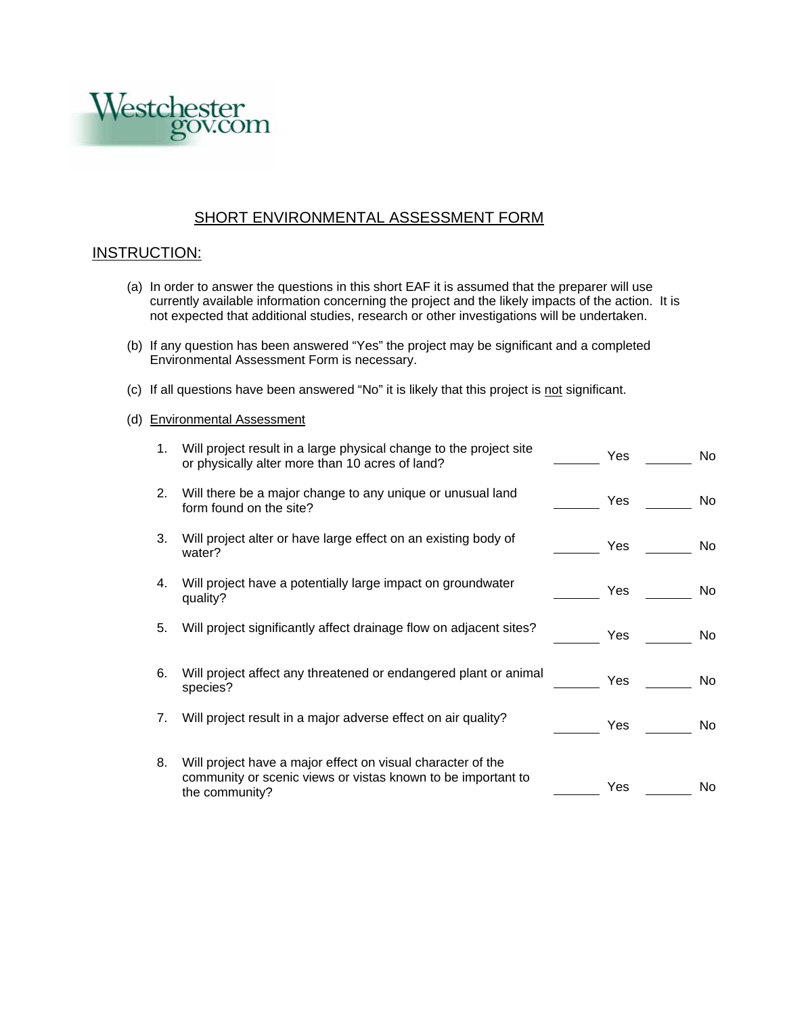

## SHORT ENVIRONMENTAL ASSESSMENT FORM

## INSTRUCTION:

- (a) In order to answer the questions in this short EAF it is assumed that the preparer will use currently available information concerning the project and the likely impacts of the action. It is not expected that additional studies, research or other investigations will be undertaken.
- (b) If any question has been answered "Yes" the project may be significant and a completed Environmental Assessment Form is necessary.
- (c) If all questions have been answered "No" it is likely that this project is not significant.

## (d) Environmental Assessment

| 1. | Will project result in a large physical change to the project site<br>or physically alter more than 10 acres of land?                         | Yes | No. |
|----|-----------------------------------------------------------------------------------------------------------------------------------------------|-----|-----|
| 2. | Will there be a major change to any unique or unusual land<br>form found on the site?                                                         | Yes | No. |
| 3. | Will project alter or have large effect on an existing body of<br>water?                                                                      | Yes | No. |
| 4. | Will project have a potentially large impact on groundwater<br>quality?                                                                       | Yes | No. |
| 5. | Will project significantly affect drainage flow on adjacent sites?                                                                            | Yes | No. |
| 6. | Will project affect any threatened or endangered plant or animal<br>species?                                                                  | Yes | No. |
| 7. | Will project result in a major adverse effect on air quality?                                                                                 | Yes | No. |
| 8. | Will project have a major effect on visual character of the<br>community or scenic views or vistas known to be important to<br>the community? | Yes | No. |